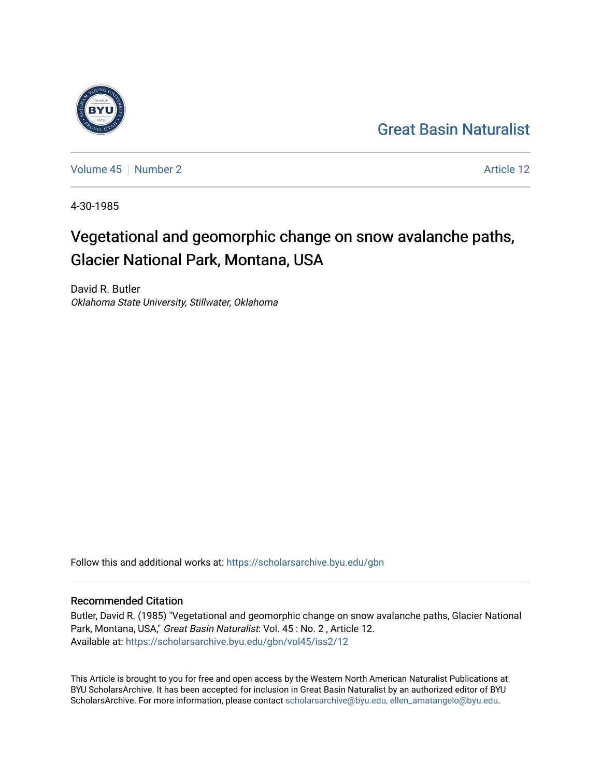## [Great Basin Naturalist](https://scholarsarchive.byu.edu/gbn)

[Volume 45](https://scholarsarchive.byu.edu/gbn/vol45) [Number 2](https://scholarsarchive.byu.edu/gbn/vol45/iss2) Article 12

4-30-1985

# Vegetational and geomorphic change on snow avalanche paths, Glacier National Park, Montana, USA

David R. Butler Oklahoma State University, Stillwater, Oklahoma

Follow this and additional works at: [https://scholarsarchive.byu.edu/gbn](https://scholarsarchive.byu.edu/gbn?utm_source=scholarsarchive.byu.edu%2Fgbn%2Fvol45%2Fiss2%2F12&utm_medium=PDF&utm_campaign=PDFCoverPages) 

### Recommended Citation

Butler, David R. (1985) "Vegetational and geomorphic change on snow avalanche paths, Glacier National Park, Montana, USA," Great Basin Naturalist: Vol. 45 : No. 2, Article 12. Available at: [https://scholarsarchive.byu.edu/gbn/vol45/iss2/12](https://scholarsarchive.byu.edu/gbn/vol45/iss2/12?utm_source=scholarsarchive.byu.edu%2Fgbn%2Fvol45%2Fiss2%2F12&utm_medium=PDF&utm_campaign=PDFCoverPages) 

This Article is brought to you for free and open access by the Western North American Naturalist Publications at BYU ScholarsArchive. It has been accepted for inclusion in Great Basin Naturalist by an authorized editor of BYU ScholarsArchive. For more information, please contact [scholarsarchive@byu.edu, ellen\\_amatangelo@byu.edu.](mailto:scholarsarchive@byu.edu,%20ellen_amatangelo@byu.edu)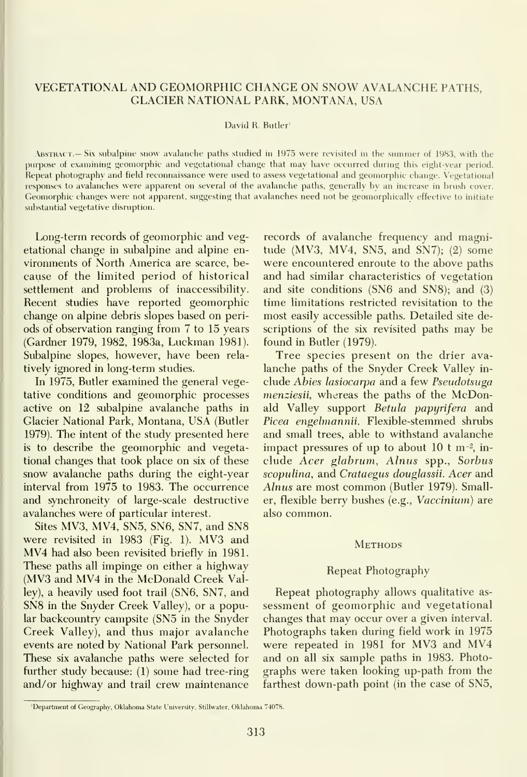### VEGETATIONAL AND GEOMORPHIC CHANGE ON SNOW AVALANCHE PATHS, GLACIER NATIONAL PARK, MONTANA, USA

#### David R. Butler'

ABSTRACT.— Six subalpine snow avalanche paths studied in 1975 were revisited in the summer of 1983, with the purpose of examining geomorphic and vegetational change that may have occurred during this eight-year period. Repeat photography and field reconnaissance were used to assess vegetational and geomorphic change. Vegetational responses to avalanches were apparent on several of the avalanche paths, generally bv an increase in brush cover. Geomorphic changes were not apparent, suggesting that avalanches need not be geomorphically effective to initiate substantial vegetative disruption.

Long-term records of geomorphic and vegetational change in subalpine and alpine en vironments of North America are scarce, be cause of the limited period of historical settlement and problems of inaccessibility. Recent studies have reported geomorphic change on alpine debris slopes based on peri ods of observation ranging from 7 to 15 years (Gardner 1979, 1982, 1983a, Luckman 1981). Subalpine slopes, however, have been rela tively ignored in long-term studies.

In 1975, Butler examined the general vegetative conditions and geomorphic processes active on 12 subalpine avalanche paths in Glacier National Park, Montana, USA (Butler 1979). The intent of the study presented here is to describe the geomorphic and vegetational changes that took place on six of these snow avalanche paths during the eight-year interval from 1975 to 1983. The occurrence and synchroneity of large-scale destructive avalanches were of particular interest.

Sites MV3, MV4, SN5, SN6, SN7, and SN8 were revisited in <sup>1983</sup> (Fig. 1). MV3 and MV4 had also been revisited briefly in 1981. These paths all impinge on either a highway (MV3 and MV4 in the McDonald Creek Valley), a heavily used foot trail (SN6, SN7, and SN8 in the Snyder Creek Valley), or a popular backcountry campsite (SN5 in the Snyder Creek Valley), and thus major avalanche events are noted by National Park personnel. These six avalanche paths were selected for further study because: (1) some had tree-ring and/or highway and trail crew maintenance

records of avalanche frequency and magnitude (MV3, MV4, SN5, and SN7); (2) some were encountered enroute to the above paths and had similar characteristics of vegetation and site conditions (SN6 and SN8); and (3) time limitations restricted revisitation to the most easily accessible paths. Detailed site descriptions of the six revisited paths may be found in Butler (1979).

Tree species present on the drier ava lanche paths of the Snyder Creek Valley in clude Abies lasiocarpa and a few Pseudotsuga menziesii, whereas the paths of the McDonald Valley support Betula papyrifera and Picea engehnannii. Flexible-stemmed shrubs and small trees, able to withstand avalanche impact pressures of up to about 10 <sup>t</sup> m-2, in clude Acer glabrum, Alnus spp., Sorbus scopulina, and Crataegus douglassii. Acer and Alnus are most common (Butler 1979). Smaller, flexible berry bushes (e.g., Vaccinium) are also common.

#### **METHODS**

#### Repeat Photography

Repeat photography allows qualitative as sessment of geomorphic and vegetational changes that may occur over <sup>a</sup> given interval. Photographs taken during field work in 1975 were repeated in <sup>1981</sup> for MV3 and MV4 and on all six sample paths in 1983. Photo graphs were taken looking up-path from the farthest down-path point (in the case of SN5,

<sup>&#</sup>x27;Department of Geography, Oklahoma State University, Stillwater, Oklahoma 74078.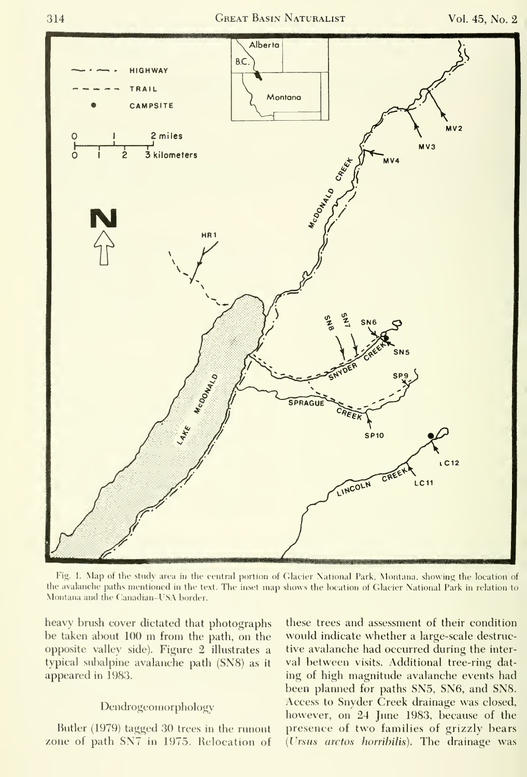

Fig. 1. Map of the study area in the central portion of Glac the avalanche paths mentioned in the text. The inset map shows t Montana and the Canadian-USA border.

heavy brush cover dictated that photographs be taken about <sup>100</sup> m from the path, on the opposite valley side). Figure 2 illustrates a typical subalpine avalanche path (SN8) as it appeared in 1983.

#### Dendrogeomorphology

Butler (1979) tagged 30 trees in the runout zone of path SN7 in 1975. Relocation of

these trees and assessment of their condition would indicate whether a large-scale destructive avalanche had occurred during the inter val between visits. Additional tree-ring dat ing of high magnitude avalanche events had been planned for paths SN5, SN6, and SN8. Access to Snyder Creek drainage was closed, however, on 24 June 1983, because of the presence of two families of grizzly bears (Ursus arctos horribilis). The drainage was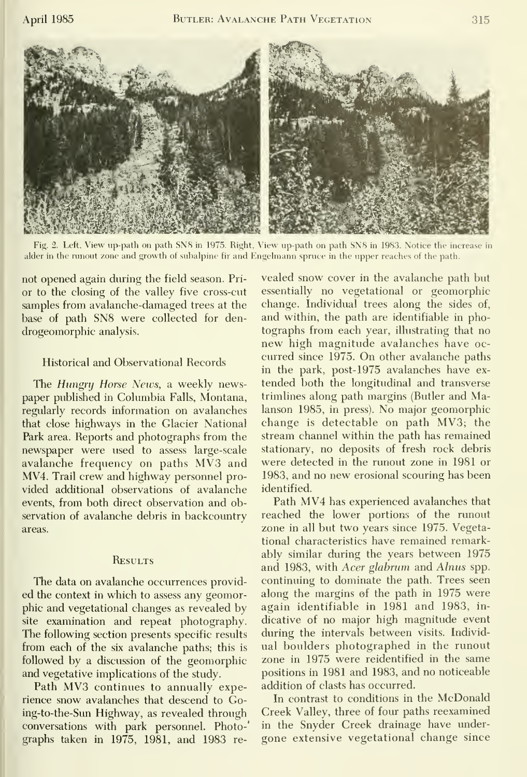

Fig. 2. Left, View up-path on path SN8 in 1975. Right, View up-path on path SN8 in 1983. Notice the increase in alder in the runout zone and growth of subalpine fir and Engelmann spruce in the upper reaches of the path.

not opened again during the field season. Pri or to the closing of the valley five cross-cut samples from avalanche-damaged trees at the base of path SN8 were collected for den drogeomorphic analysis.

### Historical and Observational Records

The Hungry Horse News, a weekly newspaper published in Columbia Falls, Montana, regularly records information on avalanches that close highways in the Glacier National Park area. Reports and photographs from the newspaper were used to assess large-scale avalanche frequency on paths MV3 and MV4. Trail crew and highway personnel pro vided additional observations of avalanche events, from both direct observation and observation of avalanche debris in backcountry areas.

#### **RESULTS**

The data on avalanche occurrences provid ed the context in which to assess any geomorphic and vegetational changes as revealed by site examination and repeat photography. The following section presents specific results from each of the six avalanche paths; this is followed by a discussion of the geomorphic and vegetative implications of the study.

Path MV3 continues to annually experience snow avalanches that descend to Going-to-the-Sun Highway, as revealed through conversations with park personnel. Photo-' graphs taken in 1975, 1981, and 1983 re-

vealed snow cover in the avalanche path but essentially no vegetational or geomorphic change. Individual trees along the sides of, and within, the path are identifiable in photographs from each year, illustrating that no new high magnitude avalanches have oc curred since 1975. On other avalanche paths in the park, post- 1975 avalanches have ex tended both the longitudinal and transverse trimlines along path margins (Butler and Malanson 1985, in press). No major geomorphic change is detectable on path MV3; the stream channel within the path has remained stationary, no deposits of fresh rock debris were detected in the runout zone in 1981 or 1983, and no new erosional scouring has been identified.

Path MV4 has experienced avalanches that reached the lower portions of the runout zone in all but two years since 1975. Vegetational characteristics have remained remarkably similar during the years between 1975 and 1983, with Acer glabrum and Alnus spp. continuing to dominate the path. Trees seen along the margins of the path in 1975 were again identifiable in 1981 and 1983, in dicative of no major high magnitude event during the intervals between visits. Individ ual boulders photographed in the runout zone in 1975 were reidentified in the same positions in 1981 and 1983, and no noticeable addition of clasts has occurred.

In contrast to conditions in the McDonald Creek Valley, three of four paths reexamined in the Snyder Creek drainage have under gone extensive vegetational change since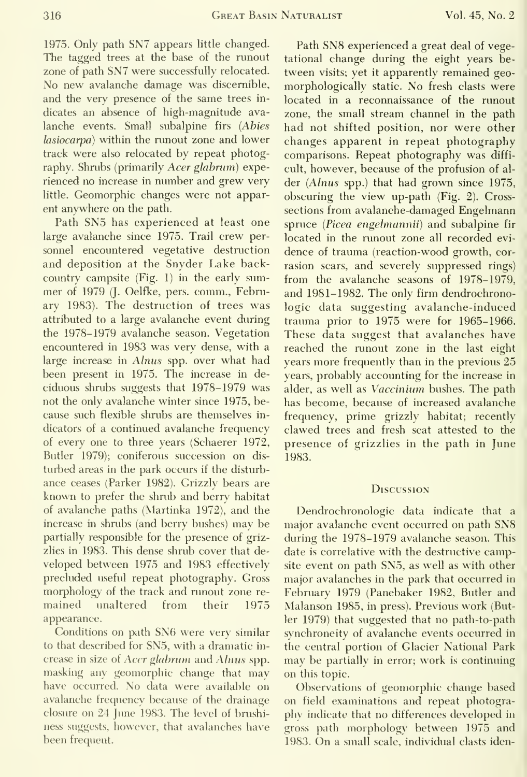1975. Only path SN7 appears little changed. The tagged trees at the base of the runout zone of path SN7 were successfully relocated. No new avalanche damage was discernible, and the very presence of the same trees in dicates an absence of high-magnitude ava lanche events. Small subalpine firs {Abies lasiocarpa) within the runout zone and lower track were also relocated by repeat photography. Shrubs (primarily Acer glabrum) experienced no increase in number and grew very little. Geomorphic changes were not apparent anywhere on the path.

Path SN5 has experienced at least one large avalanche since 1975. Trail crew per sonnel encountered vegetative destruction and deposition at the Snyder Lake backcountry campsite  $(Fig. 1)$  in the early summer of 1979 (J. Oelfke, pers. comm., February 1983). The destruction of trees was attributed to a large avalanche event during the 1978-1979 avalanche season. Vegetation encountered in 1983 was very dense, with a large increase in Alnus spp. over what had been present in 1975. The increase in de ciduous shrubs suggests that 1978-1979 was not the only avalanche winter since 1975, because such flexible shrubs are themselves in dicators of a continued avalanche frequency of every one to three years (Schaerer 1972, Butler 1979); coniferous succession on dis turbed areas in the park occurs if the disturbance ceases (Parker 1982). Grizzly bears are known to prefer the shrub and berry habitat of avalanche paths (Martinka 1972), and the increase in shrubs (and berry bushes) may be partially responsible for the presence of grizzlies in 1983. This dense shrub cover that developed between 1975 and 1983 effectively precluded useful repeat photography. Gross morphology of the track and runout zone re mained unaltered from their 1975 appearance.

Conditions on path SN6 were very similar to that described for SN5, with a dramatic in crease in size of Acer glabrum and Alnus spp. masking any geomorphic change that may have occurred. No data were available on avalanche frequency because of the drainage closure on 24 June 1983. The level of brushiness suggests, however, that avalanches have been frequent.

Path SN8 experienced <sup>a</sup> great deal of vegetational change during the eight years be tween visits; yet it apparently remained geo morphologically static. No fresh clasts were located in a reconnaissance of the runout zone, the small stream channel in the path had not shifted position, nor were other changes apparent in repeat photography comparisons. Repeat photography was diffi cult, however, because of the profusion of al der (Alnus spp.) that had grown since 1975, obscuring the view up-path (Fig. 2). Crosssections from avalanche-damaged Engelmann spruce (Picea engelmannii) and subalpine fir located in the runout zone all recorded evi dence of trauma (reaction-wood growth, cor rasion scars, and severely suppressed rings) from the avalanche seasons of 1978-1979, and 1981-1982. The only firm dendrochronologic data suggesting avalanche-induced trauma prior to 1975 were for 1965-1966. These data suggest that avalanches have reached the runout zone in the last eight years more frequently than in the previous 25 years, probably accounting for the increase in alder, as well as Vaccinium bushes. The path has become, because of increased avalanche frequency, prime grizzly habitat; recently clawed trees and fresh scat attested to the presence of grizzlies in the path in June 1983.

#### **Discussion**

Dendrochronologic data indicate that a major avalanche event occurred on path SN8 during the 1978-1979 avalanche season. This date is correlative with the destructive campsite event on path SN5, as well as with other major avalanches in the park that occurred in February 1979 (Panebaker 1982, Butler and Malanson 1985, in press). Previous work (Butler 1979) that suggested that no path-to-path synchroneity of avalanche events occurred in the central portion of Glacier National Park may be partially in error; work is continuing on this topic.

Observations of geomorphic change based on field examinations and repeat photography indicate that no differences developed in gross path morphology between 1975 and 1983. On <sup>a</sup> small scale, individual clasts iden-